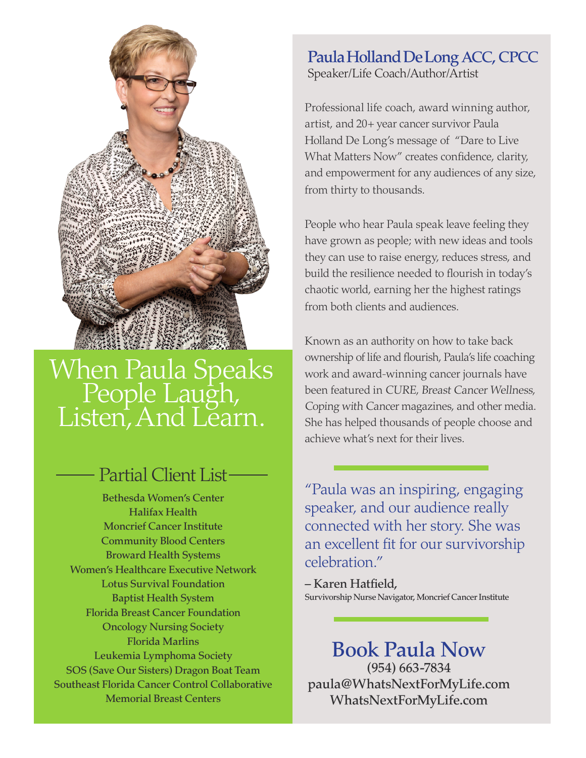

# When Paula Speaks<br>People Laugh,<br>Listen, And Learn.

### - Partial Client List-

Bethesda Women's Center Halifax Health Moncrief Cancer Institute Community Blood Centers Broward Health Systems Women's Healthcare Executive Network Lotus Survival Foundation Baptist Health System Florida Breast Cancer Foundation Oncology Nursing Society Florida Marlins Leukemia Lymphoma Society SOS (Save Our Sisters) Dragon Boat Team Southeast Florida Cancer Control Collaborative Memorial Breast Centers

#### Paula Holland De Long ACC, CPCC Speaker/Life Coach/Author/Artist

Professional life coach, award winning author, artist, and 20+ year cancer survivor Paula Holland De Long's message of "Dare to Live What Matters Now" creates confidence, clarity, and empowerment for any audiences of any size, from thirty to thousands.

People who hear Paula speak leave feeling they have grown as people; with new ideas and tools they can use to raise energy, reduces stress, and build the resilience needed to flourish in today's chaotic world, earning her the highest ratings from both clients and audiences.

Known as an authority on how to take back ownership of life and flourish, Paula's life coaching work and award-winning cancer journals have been featured in CURE, Breast Cancer Wellness, Coping with Cancer magazines, and other media. She has helped thousands of people choose and achieve what's next for their lives.

"Paula was an inspiring, engaging speaker, and our audience really connected with her story. She was an excellent fit for our survivorship celebration."

– Karen Hatfield, Survivorship Nurse Navigator, Moncrief Cancer Institute

Book Paula Now (954) 663-7834 paula@WhatsNextForMyLife.com WhatsNextForMyLife.com